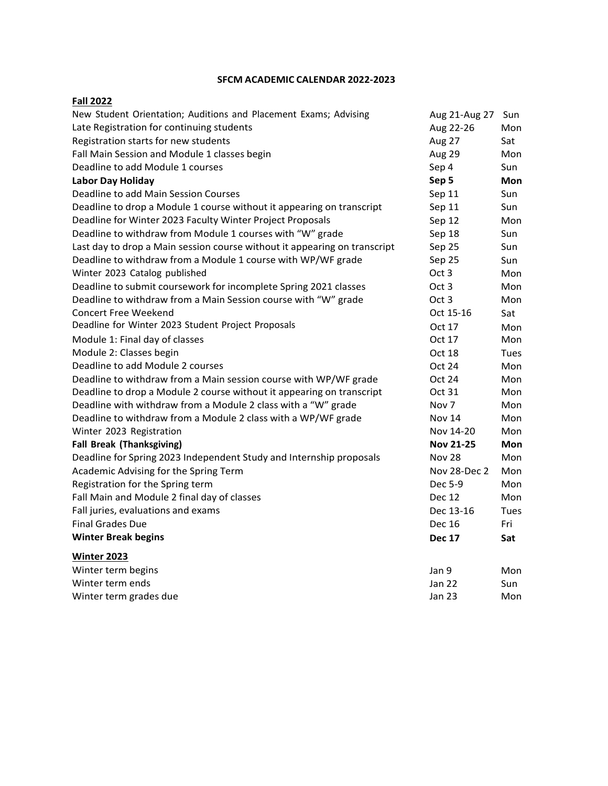## **SFCM ACADEMIC CALENDAR 2022-2023**

## **Fall 2022**

| New Student Orientation; Auditions and Placement Exams; Advising          | Aug 21-Aug 27    | Sun        |
|---------------------------------------------------------------------------|------------------|------------|
| Late Registration for continuing students                                 | Aug 22-26        | Mon        |
| Registration starts for new students                                      | Aug 27           | Sat        |
| Fall Main Session and Module 1 classes begin                              | Aug 29           | Mon        |
| Deadline to add Module 1 courses                                          | Sep 4            | Sun        |
| <b>Labor Day Holiday</b>                                                  | Sep 5            | Mon        |
| Deadline to add Main Session Courses                                      | Sep 11           | Sun        |
| Deadline to drop a Module 1 course without it appearing on transcript     | Sep 11           | Sun        |
| Deadline for Winter 2023 Faculty Winter Project Proposals                 | Sep 12           | Mon        |
| Deadline to withdraw from Module 1 courses with "W" grade                 | Sep 18           | Sun        |
| Last day to drop a Main session course without it appearing on transcript | Sep 25           | Sun        |
| Deadline to withdraw from a Module 1 course with WP/WF grade              | Sep 25           | Sun        |
| Winter 2023 Catalog published                                             | Oct 3            | Mon        |
| Deadline to submit coursework for incomplete Spring 2021 classes          | Oct 3            | Mon        |
| Deadline to withdraw from a Main Session course with "W" grade            | Oct 3            | Mon        |
| <b>Concert Free Weekend</b>                                               | Oct 15-16        | Sat        |
| Deadline for Winter 2023 Student Project Proposals                        | Oct 17           | Mon        |
| Module 1: Final day of classes                                            | Oct 17           | Mon        |
| Module 2: Classes begin                                                   | Oct 18           | Tues       |
| Deadline to add Module 2 courses                                          | Oct 24           | Mon        |
| Deadline to withdraw from a Main session course with WP/WF grade          | Oct 24           | Mon        |
| Deadline to drop a Module 2 course without it appearing on transcript     | Oct 31           | Mon        |
| Deadline with withdraw from a Module 2 class with a "W" grade             | Nov 7            | Mon        |
| Deadline to withdraw from a Module 2 class with a WP/WF grade             | Nov 14           | Mon        |
| Winter 2023 Registration                                                  | Nov 14-20        | Mon        |
| <b>Fall Break (Thanksgiving)</b>                                          | <b>Nov 21-25</b> | <b>Mon</b> |
| Deadline for Spring 2023 Independent Study and Internship proposals       | Nov 28           | Mon        |
| Academic Advising for the Spring Term                                     | Nov 28-Dec 2     | Mon        |
| Registration for the Spring term                                          | Dec 5-9          | Mon        |
| Fall Main and Module 2 final day of classes                               | <b>Dec 12</b>    | Mon        |
| Fall juries, evaluations and exams                                        | Dec 13-16        | Tues       |
| <b>Final Grades Due</b>                                                   | <b>Dec 16</b>    | Fri        |
| <b>Winter Break begins</b>                                                | <b>Dec 17</b>    | Sat        |
| <b>Winter 2023</b>                                                        |                  |            |
| Winter term begins                                                        | Jan 9            | Mon        |
| Winter term ends                                                          | Jan 22           | Sun        |
| Winter term grades due                                                    | Jan 23           | Mon        |